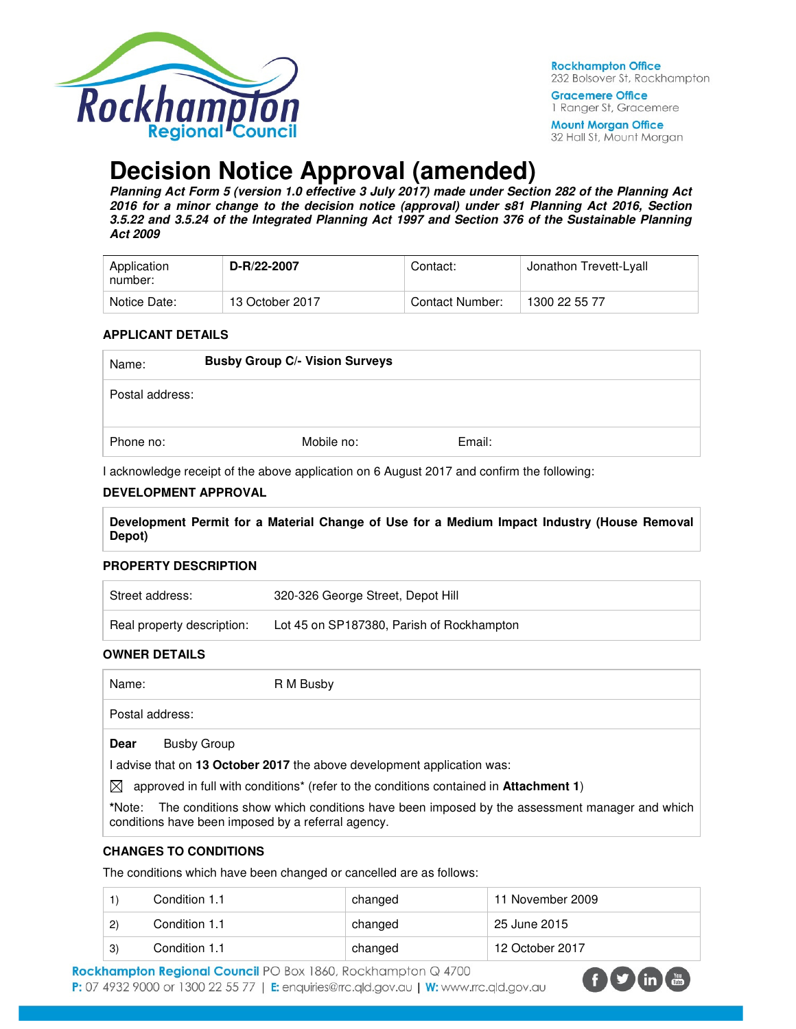

**Rockhampton Office** 232 Bolsover St, Rockhampton

**Gracemere Office** 1 Ranger St, Gracemere

**Mount Morgan Office** 32 Hall St, Mount Morgan

# **Decision Notice Approval (amended)**

**Planning Act Form 5 (version 1.0 effective 3 July 2017) made under Section 282 of the Planning Act 2016 for a minor change to the decision notice (approval) under s81 Planning Act 2016, Section 3.5.22 and 3.5.24 of the Integrated Planning Act 1997 and Section 376 of the Sustainable Planning Act 2009** 

| Application<br>number: | D-R/22-2007     | Contact:        | Jonathon Trevett-Lyall |
|------------------------|-----------------|-----------------|------------------------|
| Notice Date:           | 13 October 2017 | Contact Number: | 1300 22 55 77          |

#### **APPLICANT DETAILS**

| Name:           | <b>Busby Group C/- Vision Surveys</b> |            |        |
|-----------------|---------------------------------------|------------|--------|
| Postal address: |                                       |            |        |
| Phone no:       |                                       | Mobile no: | Email: |

I acknowledge receipt of the above application on 6 August 2017 and confirm the following:

#### **DEVELOPMENT APPROVAL**

**Development Permit for a Material Change of Use for a Medium Impact Industry (House Removal Depot)** 

#### **PROPERTY DESCRIPTION**

| Street address:            | 320-326 George Street, Depot Hill         |
|----------------------------|-------------------------------------------|
| Real property description: | Lot 45 on SP187380, Parish of Rockhampton |

#### **OWNER DETAILS**

Name: R M Busby

Postal address:

**Dear** Busby Group

I advise that on **13 October 2017** the above development application was:

 $\boxtimes$  approved in full with conditions<sup>\*</sup> (refer to the conditions contained in **Attachment 1**)

**\***Note:The conditions show which conditions have been imposed by the assessment manager and which conditions have been imposed by a referral agency.

# **CHANGES TO CONDITIONS**

The conditions which have been changed or cancelled are as follows:

|             | Condition 1.1 | changed | 11 November 2009 |
|-------------|---------------|---------|------------------|
| $2^{\circ}$ | Condition 1.1 | changed | 25 June 2015     |
| 3)          | Condition 1.1 | changed | 12 October 2017  |

Rockhampton Regional Council PO Box 1860, Rockhampton Q 4700 P: 07 4932 9000 or 1300 22 55 77 | E: enquiries@rrc.qld.gov.au | W: www.rrc.qld.gov.au

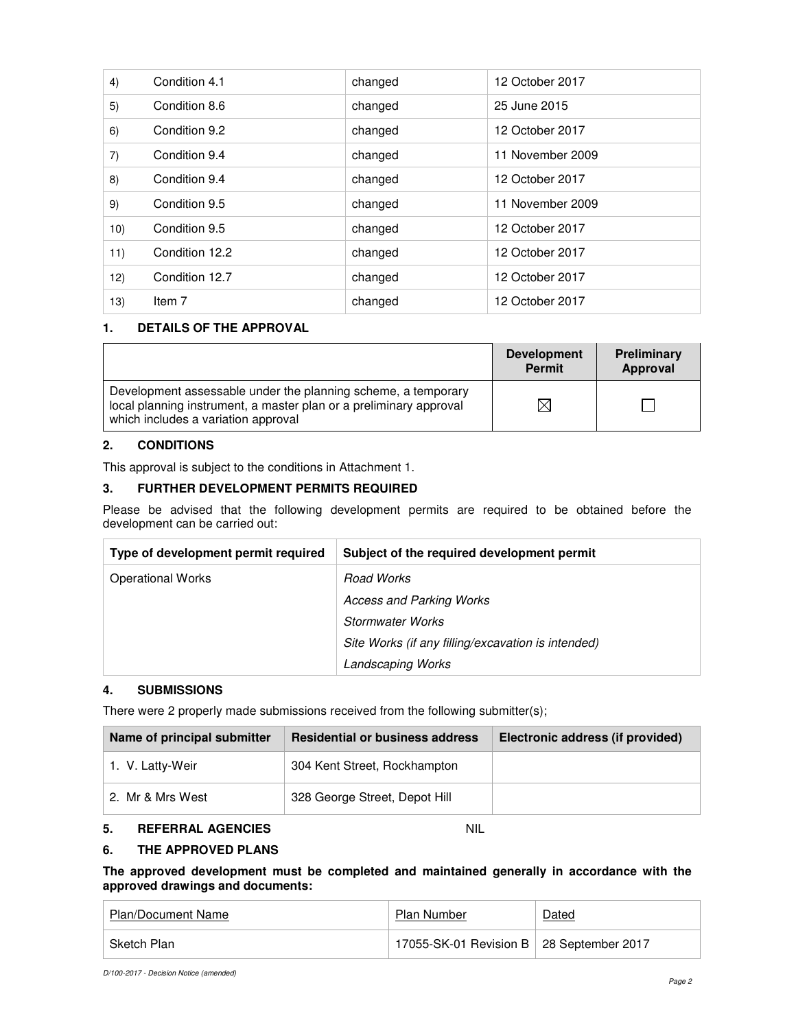| 4)  | Condition 4.1  | changed | 12 October 2017  |
|-----|----------------|---------|------------------|
| 5)  | Condition 8.6  | changed | 25 June 2015     |
| 6)  | Condition 9.2  | changed | 12 October 2017  |
| 7)  | Condition 9.4  | changed | 11 November 2009 |
| 8)  | Condition 9.4  | changed | 12 October 2017  |
| 9)  | Condition 9.5  | changed | 11 November 2009 |
| 10) | Condition 9.5  | changed | 12 October 2017  |
| 11) | Condition 12.2 | changed | 12 October 2017  |
| 12) | Condition 12.7 | changed | 12 October 2017  |
| 13) | Item 7         | changed | 12 October 2017  |

# **1. DETAILS OF THE APPROVAL**

|                                                                                                                                                                            | <b>Development</b><br><b>Permit</b> | Preliminary<br>Approval |
|----------------------------------------------------------------------------------------------------------------------------------------------------------------------------|-------------------------------------|-------------------------|
| Development assessable under the planning scheme, a temporary<br>local planning instrument, a master plan or a preliminary approval<br>which includes a variation approval |                                     |                         |

# **2. CONDITIONS**

This approval is subject to the conditions in Attachment 1.

# **3. FURTHER DEVELOPMENT PERMITS REQUIRED**

Please be advised that the following development permits are required to be obtained before the development can be carried out:

| Type of development permit required | Subject of the required development permit         |
|-------------------------------------|----------------------------------------------------|
| <b>Operational Works</b>            | <b>Road Works</b>                                  |
|                                     | Access and Parking Works                           |
|                                     | Stormwater Works                                   |
|                                     | Site Works (if any filling/excavation is intended) |
|                                     | <b>Landscaping Works</b>                           |

# **4. SUBMISSIONS**

There were 2 properly made submissions received from the following submitter(s);

| Name of principal submitter | <b>Residential or business address</b> | Electronic address (if provided) |
|-----------------------------|----------------------------------------|----------------------------------|
| 1. V. Latty-Weir            | 304 Kent Street, Rockhampton           |                                  |
| 2. Mr & Mrs West            | 328 George Street, Depot Hill          |                                  |

# **5. REFERRAL AGENCIES** NIL

# **6. THE APPROVED PLANS**

**The approved development must be completed and maintained generally in accordance with the approved drawings and documents:** 

| Plan/Document Name | <b>Plan Number</b>                         | Dated |
|--------------------|--------------------------------------------|-------|
| Sketch Plan        | 17055-SK-01 Revision B   28 September 2017 |       |

D/100-2017 - Decision Notice (amended)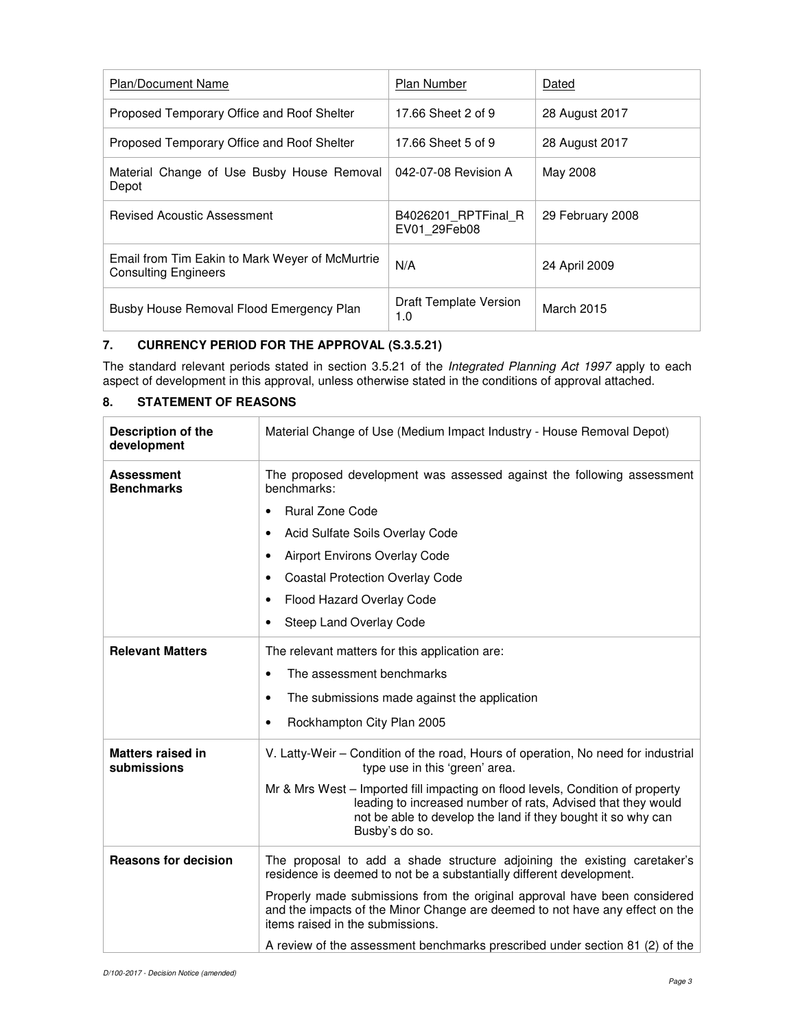| <b>Plan/Document Name</b>                                                      | <b>Plan Number</b>                  | Dated            |
|--------------------------------------------------------------------------------|-------------------------------------|------------------|
| Proposed Temporary Office and Roof Shelter                                     | 17.66 Sheet 2 of 9                  | 28 August 2017   |
| Proposed Temporary Office and Roof Shelter                                     | 17.66 Sheet 5 of 9                  | 28 August 2017   |
| Material Change of Use Busby House Removal<br>Depot                            | 042-07-08 Revision A                | May 2008         |
| Revised Acoustic Assessment                                                    | B4026201 RPTFinal R<br>EV01 29Feb08 | 29 February 2008 |
| Email from Tim Eakin to Mark Weyer of McMurtrie<br><b>Consulting Engineers</b> | N/A                                 | 24 April 2009    |
| Busby House Removal Flood Emergency Plan                                       | Draft Template Version<br>1.0       | March 2015       |

# **7. CURRENCY PERIOD FOR THE APPROVAL (S.3.5.21)**

The standard relevant periods stated in section 3.5.21 of the Integrated Planning Act 1997 apply to each aspect of development in this approval, unless otherwise stated in the conditions of approval attached.

# **8. STATEMENT OF REASONS**

| <b>Description of the</b><br>development | Material Change of Use (Medium Impact Industry - House Removal Depot)                                                                                                                                                            |
|------------------------------------------|----------------------------------------------------------------------------------------------------------------------------------------------------------------------------------------------------------------------------------|
| <b>Assessment</b><br><b>Benchmarks</b>   | The proposed development was assessed against the following assessment<br>benchmarks:                                                                                                                                            |
|                                          | <b>Rural Zone Code</b>                                                                                                                                                                                                           |
|                                          | Acid Sulfate Soils Overlay Code                                                                                                                                                                                                  |
|                                          | <b>Airport Environs Overlay Code</b>                                                                                                                                                                                             |
|                                          | <b>Coastal Protection Overlay Code</b>                                                                                                                                                                                           |
|                                          | Flood Hazard Overlay Code                                                                                                                                                                                                        |
|                                          | Steep Land Overlay Code<br>٠                                                                                                                                                                                                     |
| <b>Relevant Matters</b>                  | The relevant matters for this application are:                                                                                                                                                                                   |
|                                          | The assessment benchmarks<br>$\bullet$                                                                                                                                                                                           |
|                                          | The submissions made against the application<br>$\bullet$                                                                                                                                                                        |
|                                          | Rockhampton City Plan 2005<br>٠                                                                                                                                                                                                  |
| <b>Matters raised in</b><br>submissions  | V. Latty-Weir - Condition of the road, Hours of operation, No need for industrial<br>type use in this 'green' area.                                                                                                              |
|                                          | Mr & Mrs West - Imported fill impacting on flood levels, Condition of property<br>leading to increased number of rats, Advised that they would<br>not be able to develop the land if they bought it so why can<br>Busby's do so. |
| <b>Reasons for decision</b>              | The proposal to add a shade structure adjoining the existing caretaker's<br>residence is deemed to not be a substantially different development.                                                                                 |
|                                          | Properly made submissions from the original approval have been considered<br>and the impacts of the Minor Change are deemed to not have any effect on the<br>items raised in the submissions.                                    |
|                                          | A review of the assessment benchmarks prescribed under section 81 (2) of the                                                                                                                                                     |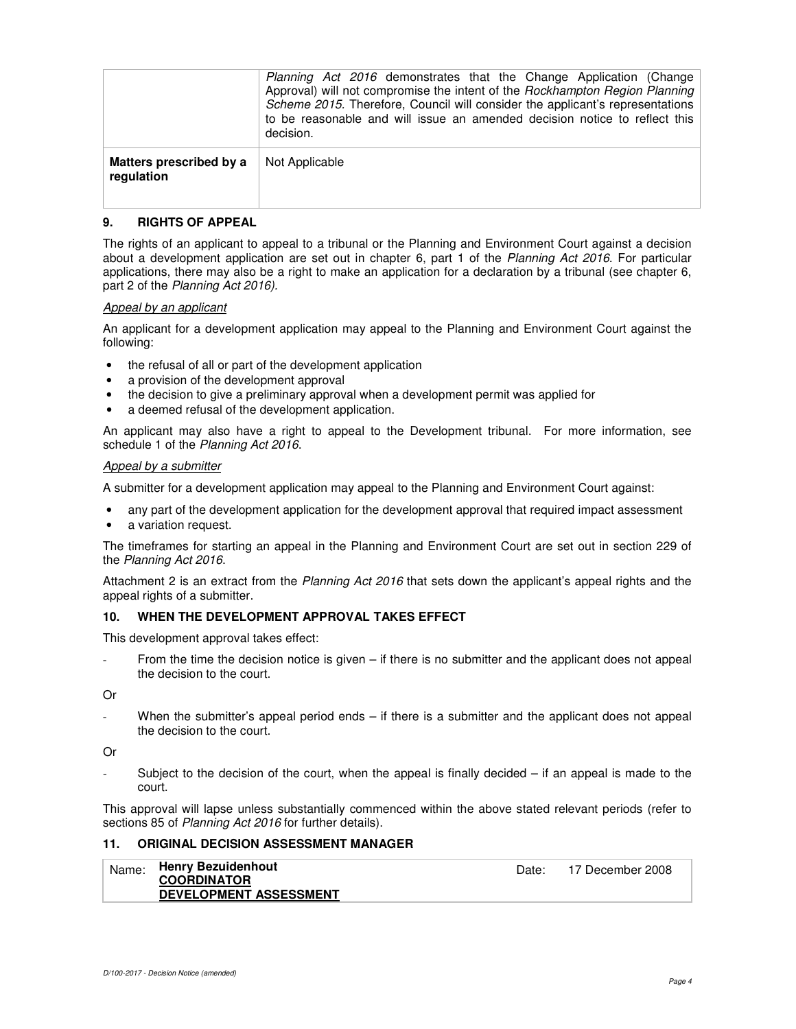|                                       | <i>Planning Act 2016</i> demonstrates that the Change Application (Change<br>Approval) will not compromise the intent of the Rockhampton Region Planning<br>Scheme 2015. Therefore, Council will consider the applicant's representations<br>to be reasonable and will issue an amended decision notice to reflect this<br>decision. |
|---------------------------------------|--------------------------------------------------------------------------------------------------------------------------------------------------------------------------------------------------------------------------------------------------------------------------------------------------------------------------------------|
| Matters prescribed by a<br>regulation | Not Applicable                                                                                                                                                                                                                                                                                                                       |

#### **9. RIGHTS OF APPEAL**

The rights of an applicant to appeal to a tribunal or the Planning and Environment Court against a decision about a development application are set out in chapter 6, part 1 of the Planning Act 2016. For particular applications, there may also be a right to make an application for a declaration by a tribunal (see chapter 6, part 2 of the Planning Act 2016).

#### Appeal by an applicant

An applicant for a development application may appeal to the Planning and Environment Court against the following:

- the refusal of all or part of the development application
- a provision of the development approval
- the decision to give a preliminary approval when a development permit was applied for
- a deemed refusal of the development application.

An applicant may also have a right to appeal to the Development tribunal. For more information, see schedule 1 of the Planning Act 2016.

#### Appeal by a submitter

A submitter for a development application may appeal to the Planning and Environment Court against:

- any part of the development application for the development approval that required impact assessment
- a variation request.

The timeframes for starting an appeal in the Planning and Environment Court are set out in section 229 of the Planning Act 2016.

Attachment 2 is an extract from the Planning Act 2016 that sets down the applicant's appeal rights and the appeal rights of a submitter.

#### **10. WHEN THE DEVELOPMENT APPROVAL TAKES EFFECT**

This development approval takes effect:

From the time the decision notice is given – if there is no submitter and the applicant does not appeal the decision to the court.

Or

When the submitter's appeal period ends – if there is a submitter and the applicant does not appeal the decision to the court.

Or

Subject to the decision of the court, when the appeal is finally decided  $-$  if an appeal is made to the court.

This approval will lapse unless substantially commenced within the above stated relevant periods (refer to sections 85 of Planning Act 2016 for further details).

#### **11. ORIGINAL DECISION ASSESSMENT MANAGER**

| Name: | Henry Bezuidenhout<br><b>COORDINATOR</b> | Date: | 17 December 2008 |
|-------|------------------------------------------|-------|------------------|
|       | <b>DEVELOPMENT ASSESSMENT</b>            |       |                  |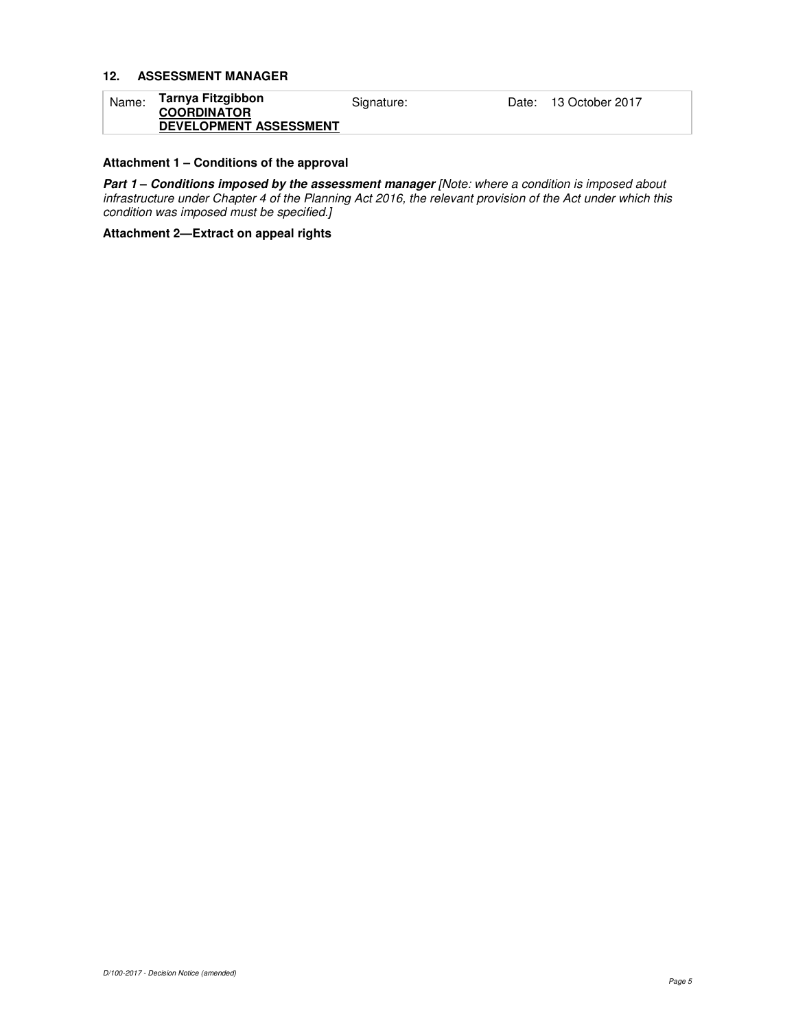## **12. ASSESSMENT MANAGER**

| Name: | Tarnya Fitzgibbon<br><b>COORDINATOR</b> | Signature: | Date: 13 October 2017 |
|-------|-----------------------------------------|------------|-----------------------|
|       | <b>DEVELOPMENT ASSESSMENT</b>           |            |                       |

# **Attachment 1 – Conditions of the approval**

**Part 1** – **Conditions imposed by the assessment manager** [Note: where a condition is imposed about infrastructure under Chapter 4 of the Planning Act 2016, the relevant provision of the Act under which this condition was imposed must be specified.]

**Attachment 2—Extract on appeal rights**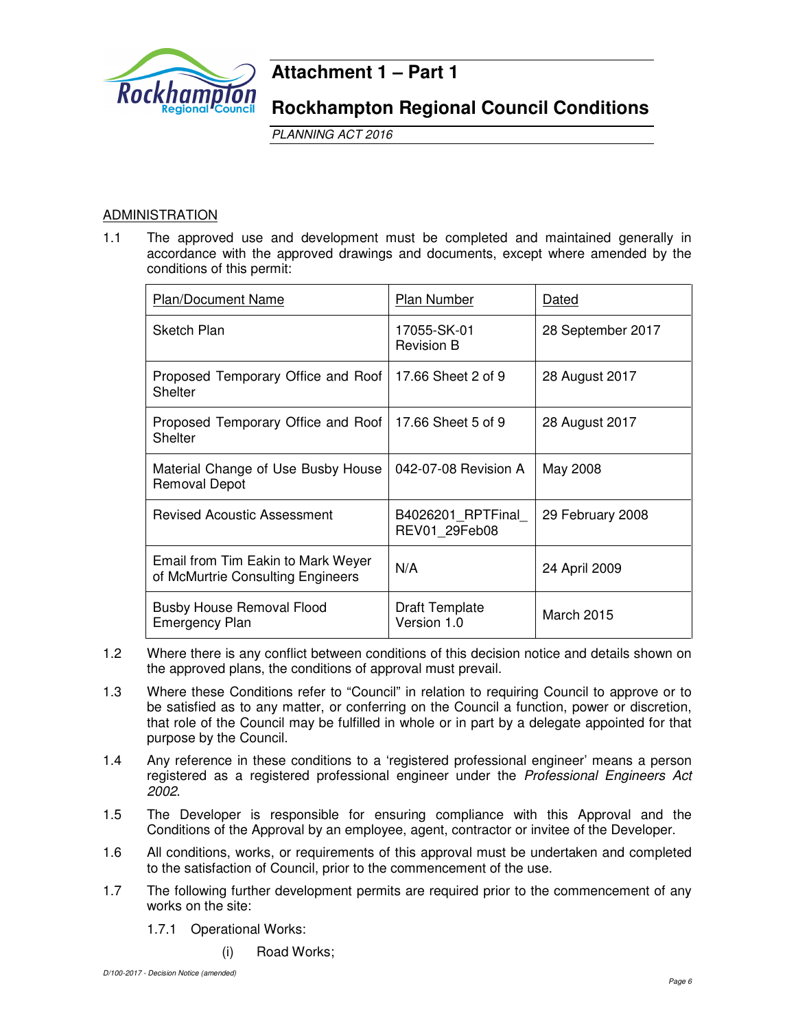

# **Attachment 1 – Part 1**

**Rockhampton Regional Council Conditions**

PLANNING ACT 2016

# ADMINISTRATION

1.1 The approved use and development must be completed and maintained generally in accordance with the approved drawings and documents, except where amended by the conditions of this permit:

| Plan/Document Name                                                      | Plan Number                          | Dated             |
|-------------------------------------------------------------------------|--------------------------------------|-------------------|
| Sketch Plan                                                             | 17055-SK-01<br><b>Revision B</b>     | 28 September 2017 |
| Proposed Temporary Office and Roof<br>Shelter                           | 17.66 Sheet 2 of 9                   | 28 August 2017    |
| Proposed Temporary Office and Roof<br>Shelter                           | 17.66 Sheet 5 of 9                   | 28 August 2017    |
| Material Change of Use Busby House<br>Removal Depot                     | 042-07-08 Revision A                 | May 2008          |
| <b>Revised Acoustic Assessment</b>                                      | B4026201 RPTFinal<br>REV01 29Feb08   | 29 February 2008  |
| Email from Tim Eakin to Mark Weyer<br>of McMurtrie Consulting Engineers | N/A                                  | 24 April 2009     |
| <b>Busby House Removal Flood</b><br><b>Emergency Plan</b>               | <b>Draft Template</b><br>Version 1.0 | <b>March 2015</b> |

- 1.2 Where there is any conflict between conditions of this decision notice and details shown on the approved plans, the conditions of approval must prevail.
- 1.3 Where these Conditions refer to "Council" in relation to requiring Council to approve or to be satisfied as to any matter, or conferring on the Council a function, power or discretion, that role of the Council may be fulfilled in whole or in part by a delegate appointed for that purpose by the Council.
- 1.4 Any reference in these conditions to a 'registered professional engineer' means a person registered as a registered professional engineer under the Professional Engineers Act 2002.
- 1.5 The Developer is responsible for ensuring compliance with this Approval and the Conditions of the Approval by an employee, agent, contractor or invitee of the Developer.
- 1.6 All conditions, works, or requirements of this approval must be undertaken and completed to the satisfaction of Council, prior to the commencement of the use.
- 1.7 The following further development permits are required prior to the commencement of any works on the site:
	- 1.7.1 Operational Works:
		- (i) Road Works;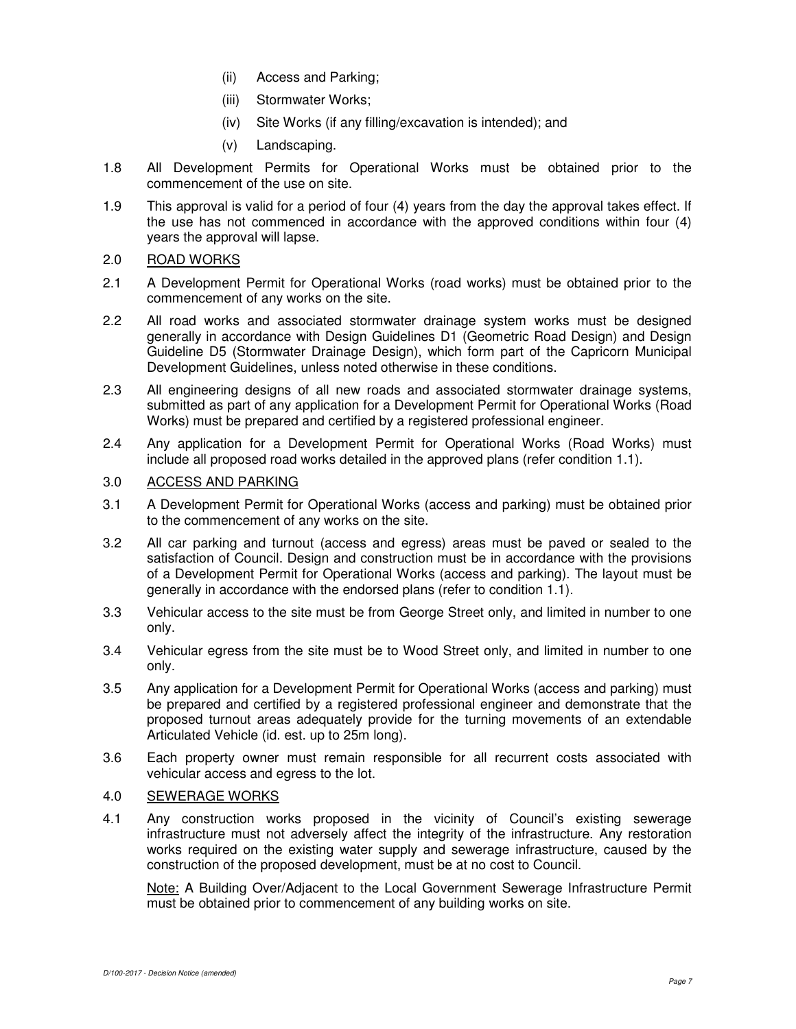- (ii) Access and Parking;
- (iii) Stormwater Works;
- (iv) Site Works (if any filling/excavation is intended); and
- (v) Landscaping.
- 1.8 All Development Permits for Operational Works must be obtained prior to the commencement of the use on site.
- 1.9 This approval is valid for a period of four (4) years from the day the approval takes effect. If the use has not commenced in accordance with the approved conditions within four (4) years the approval will lapse.

# 2.0 ROAD WORKS

- 2.1 A Development Permit for Operational Works (road works) must be obtained prior to the commencement of any works on the site.
- 2.2 All road works and associated stormwater drainage system works must be designed generally in accordance with Design Guidelines D1 (Geometric Road Design) and Design Guideline D5 (Stormwater Drainage Design), which form part of the Capricorn Municipal Development Guidelines, unless noted otherwise in these conditions.
- 2.3 All engineering designs of all new roads and associated stormwater drainage systems, submitted as part of any application for a Development Permit for Operational Works (Road Works) must be prepared and certified by a registered professional engineer.
- 2.4 Any application for a Development Permit for Operational Works (Road Works) must include all proposed road works detailed in the approved plans (refer condition 1.1).

# 3.0 ACCESS AND PARKING

- 3.1 A Development Permit for Operational Works (access and parking) must be obtained prior to the commencement of any works on the site.
- 3.2 All car parking and turnout (access and egress) areas must be paved or sealed to the satisfaction of Council. Design and construction must be in accordance with the provisions of a Development Permit for Operational Works (access and parking). The layout must be generally in accordance with the endorsed plans (refer to condition 1.1).
- 3.3 Vehicular access to the site must be from George Street only, and limited in number to one only.
- 3.4 Vehicular egress from the site must be to Wood Street only, and limited in number to one only.
- 3.5 Any application for a Development Permit for Operational Works (access and parking) must be prepared and certified by a registered professional engineer and demonstrate that the proposed turnout areas adequately provide for the turning movements of an extendable Articulated Vehicle (id. est. up to 25m long).
- 3.6 Each property owner must remain responsible for all recurrent costs associated with vehicular access and egress to the lot.

# 4.0 SEWERAGE WORKS

4.1 Any construction works proposed in the vicinity of Council's existing sewerage infrastructure must not adversely affect the integrity of the infrastructure. Any restoration works required on the existing water supply and sewerage infrastructure, caused by the construction of the proposed development, must be at no cost to Council.

Note: A Building Over/Adjacent to the Local Government Sewerage Infrastructure Permit must be obtained prior to commencement of any building works on site.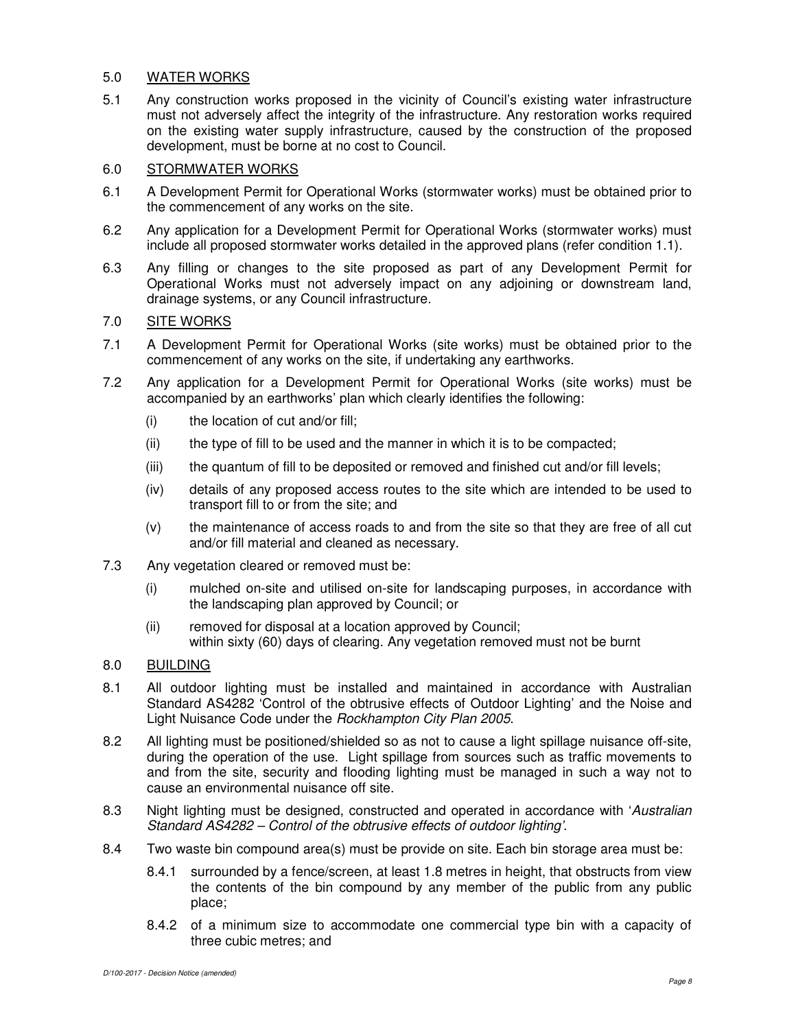# 5.0 WATER WORKS

5.1 Any construction works proposed in the vicinity of Council's existing water infrastructure must not adversely affect the integrity of the infrastructure. Any restoration works required on the existing water supply infrastructure, caused by the construction of the proposed development, must be borne at no cost to Council.

# 6.0 STORMWATER WORKS

- 6.1 A Development Permit for Operational Works (stormwater works) must be obtained prior to the commencement of any works on the site.
- 6.2 Any application for a Development Permit for Operational Works (stormwater works) must include all proposed stormwater works detailed in the approved plans (refer condition 1.1).
- 6.3 Any filling or changes to the site proposed as part of any Development Permit for Operational Works must not adversely impact on any adjoining or downstream land, drainage systems, or any Council infrastructure.

# 7.0 SITE WORKS

- 7.1 A Development Permit for Operational Works (site works) must be obtained prior to the commencement of any works on the site, if undertaking any earthworks.
- 7.2 Any application for a Development Permit for Operational Works (site works) must be accompanied by an earthworks' plan which clearly identifies the following:
	- (i) the location of cut and/or fill;
	- (ii) the type of fill to be used and the manner in which it is to be compacted;
	- (iii) the quantum of fill to be deposited or removed and finished cut and/or fill levels;
	- (iv) details of any proposed access routes to the site which are intended to be used to transport fill to or from the site; and
	- (v) the maintenance of access roads to and from the site so that they are free of all cut and/or fill material and cleaned as necessary.
- 7.3 Any vegetation cleared or removed must be:
	- (i) mulched on-site and utilised on-site for landscaping purposes, in accordance with the landscaping plan approved by Council; or
	- (ii) removed for disposal at a location approved by Council; within sixty (60) days of clearing. Any vegetation removed must not be burnt
- 8.0 BUILDING
- 8.1 All outdoor lighting must be installed and maintained in accordance with Australian Standard AS4282 'Control of the obtrusive effects of Outdoor Lighting' and the Noise and Light Nuisance Code under the Rockhampton City Plan 2005.
- 8.2 All lighting must be positioned/shielded so as not to cause a light spillage nuisance off-site, during the operation of the use. Light spillage from sources such as traffic movements to and from the site, security and flooding lighting must be managed in such a way not to cause an environmental nuisance off site.
- 8.3 Night lighting must be designed, constructed and operated in accordance with 'Australian' Standard AS4282 – Control of the obtrusive effects of outdoor lighting'.
- 8.4 Two waste bin compound area(s) must be provide on site. Each bin storage area must be:
	- 8.4.1 surrounded by a fence/screen, at least 1.8 metres in height, that obstructs from view the contents of the bin compound by any member of the public from any public place;
	- 8.4.2 of a minimum size to accommodate one commercial type bin with a capacity of three cubic metres; and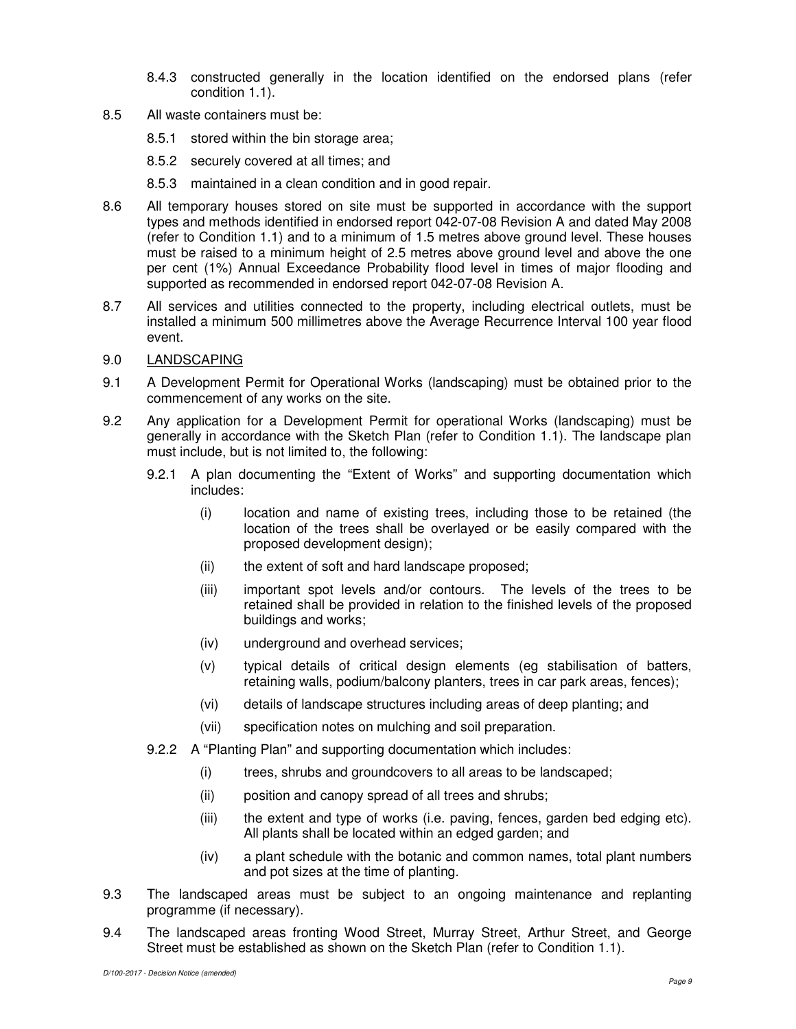- 8.4.3 constructed generally in the location identified on the endorsed plans (refer condition 1.1).
- 8.5 All waste containers must be:
	- 8.5.1 stored within the bin storage area;
	- 8.5.2 securely covered at all times; and
	- 8.5.3 maintained in a clean condition and in good repair.
- 8.6 All temporary houses stored on site must be supported in accordance with the support types and methods identified in endorsed report 042-07-08 Revision A and dated May 2008 (refer to Condition 1.1) and to a minimum of 1.5 metres above ground level. These houses must be raised to a minimum height of 2.5 metres above ground level and above the one per cent (1%) Annual Exceedance Probability flood level in times of major flooding and supported as recommended in endorsed report 042-07-08 Revision A.
- 8.7 All services and utilities connected to the property, including electrical outlets, must be installed a minimum 500 millimetres above the Average Recurrence Interval 100 year flood event.
- 9.0 LANDSCAPING
- 9.1 A Development Permit for Operational Works (landscaping) must be obtained prior to the commencement of any works on the site.
- 9.2 Any application for a Development Permit for operational Works (landscaping) must be generally in accordance with the Sketch Plan (refer to Condition 1.1). The landscape plan must include, but is not limited to, the following:
	- 9.2.1 A plan documenting the "Extent of Works" and supporting documentation which includes:
		- (i) location and name of existing trees, including those to be retained (the location of the trees shall be overlayed or be easily compared with the proposed development design);
		- (ii) the extent of soft and hard landscape proposed;
		- (iii) important spot levels and/or contours. The levels of the trees to be retained shall be provided in relation to the finished levels of the proposed buildings and works;
		- (iv) underground and overhead services;
		- (v) typical details of critical design elements (eg stabilisation of batters, retaining walls, podium/balcony planters, trees in car park areas, fences);
		- (vi) details of landscape structures including areas of deep planting; and
		- (vii) specification notes on mulching and soil preparation.
	- 9.2.2 A "Planting Plan" and supporting documentation which includes:
		- (i) trees, shrubs and groundcovers to all areas to be landscaped;
		- (ii) position and canopy spread of all trees and shrubs;
		- (iii) the extent and type of works (i.e. paving, fences, garden bed edging etc). All plants shall be located within an edged garden; and
		- (iv) a plant schedule with the botanic and common names, total plant numbers and pot sizes at the time of planting.
- 9.3 The landscaped areas must be subject to an ongoing maintenance and replanting programme (if necessary).
- 9.4 The landscaped areas fronting Wood Street, Murray Street, Arthur Street, and George Street must be established as shown on the Sketch Plan (refer to Condition 1.1).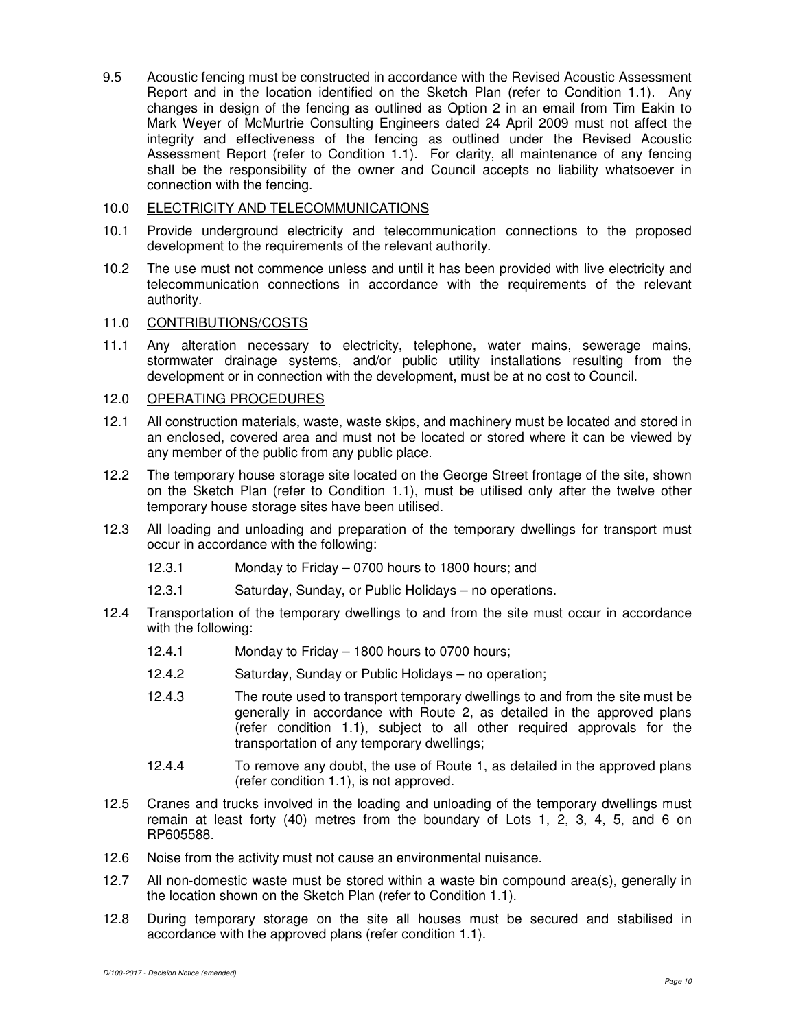9.5 Acoustic fencing must be constructed in accordance with the Revised Acoustic Assessment Report and in the location identified on the Sketch Plan (refer to Condition 1.1). Any changes in design of the fencing as outlined as Option 2 in an email from Tim Eakin to Mark Weyer of McMurtrie Consulting Engineers dated 24 April 2009 must not affect the integrity and effectiveness of the fencing as outlined under the Revised Acoustic Assessment Report (refer to Condition 1.1). For clarity, all maintenance of any fencing shall be the responsibility of the owner and Council accepts no liability whatsoever in connection with the fencing.

# 10.0 ELECTRICITY AND TELECOMMUNICATIONS

- 10.1 Provide underground electricity and telecommunication connections to the proposed development to the requirements of the relevant authority.
- 10.2 The use must not commence unless and until it has been provided with live electricity and telecommunication connections in accordance with the requirements of the relevant authority.

# 11.0 CONTRIBUTIONS/COSTS

11.1 Any alteration necessary to electricity, telephone, water mains, sewerage mains, stormwater drainage systems, and/or public utility installations resulting from the development or in connection with the development, must be at no cost to Council.

# 12.0 OPERATING PROCEDURES

- 12.1 All construction materials, waste, waste skips, and machinery must be located and stored in an enclosed, covered area and must not be located or stored where it can be viewed by any member of the public from any public place.
- 12.2 The temporary house storage site located on the George Street frontage of the site, shown on the Sketch Plan (refer to Condition 1.1), must be utilised only after the twelve other temporary house storage sites have been utilised.
- 12.3 All loading and unloading and preparation of the temporary dwellings for transport must occur in accordance with the following:
	- 12.3.1 Monday to Friday 0700 hours to 1800 hours; and
	- 12.3.1 Saturday, Sunday, or Public Holidays no operations.
- 12.4 Transportation of the temporary dwellings to and from the site must occur in accordance with the following:
	- 12.4.1 Monday to Friday 1800 hours to 0700 hours;
	- 12.4.2 Saturday, Sunday or Public Holidays no operation;
	- 12.4.3 The route used to transport temporary dwellings to and from the site must be generally in accordance with Route 2, as detailed in the approved plans (refer condition 1.1), subject to all other required approvals for the transportation of any temporary dwellings;
	- 12.4.4 To remove any doubt, the use of Route 1, as detailed in the approved plans (refer condition 1.1), is not approved.
- 12.5 Cranes and trucks involved in the loading and unloading of the temporary dwellings must remain at least forty (40) metres from the boundary of Lots 1, 2, 3, 4, 5, and 6 on RP605588.
- 12.6 Noise from the activity must not cause an environmental nuisance.
- 12.7 All non-domestic waste must be stored within a waste bin compound area(s), generally in the location shown on the Sketch Plan (refer to Condition 1.1).
- 12.8 During temporary storage on the site all houses must be secured and stabilised in accordance with the approved plans (refer condition 1.1).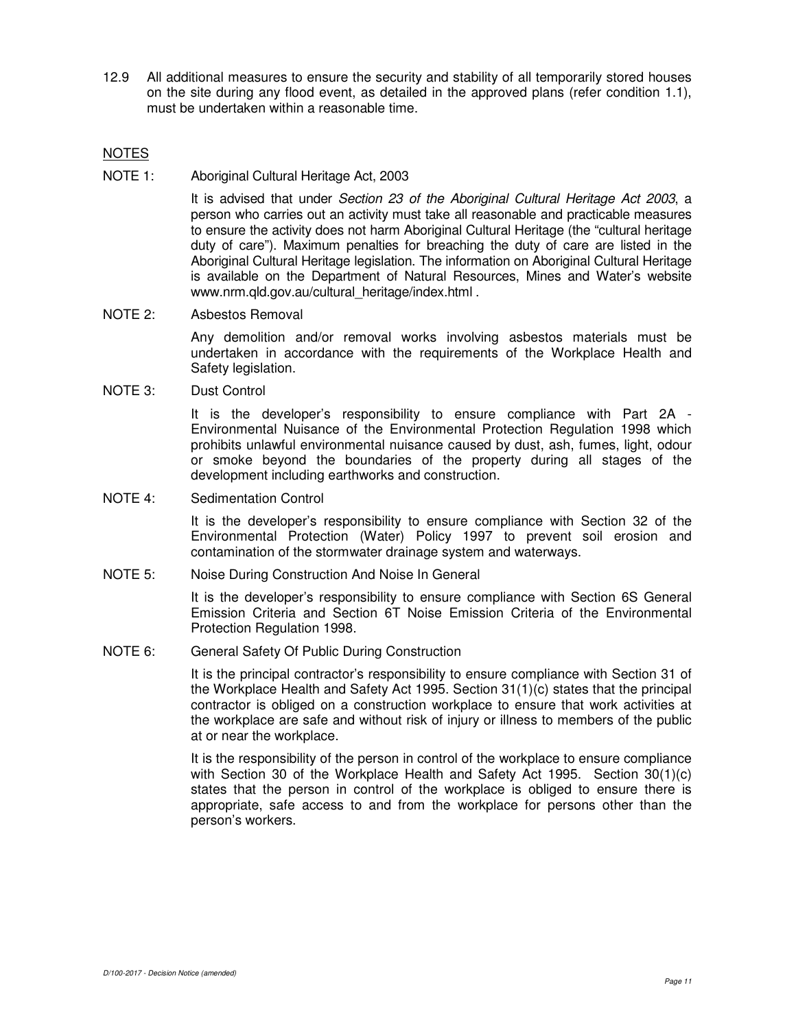12.9 All additional measures to ensure the security and stability of all temporarily stored houses on the site during any flood event, as detailed in the approved plans (refer condition 1.1), must be undertaken within a reasonable time.

# NOTES

NOTE 1: Aboriginal Cultural Heritage Act, 2003

It is advised that under Section 23 of the Aboriginal Cultural Heritage Act 2003, a person who carries out an activity must take all reasonable and practicable measures to ensure the activity does not harm Aboriginal Cultural Heritage (the "cultural heritage duty of care"). Maximum penalties for breaching the duty of care are listed in the Aboriginal Cultural Heritage legislation. The information on Aboriginal Cultural Heritage is available on the Department of Natural Resources, Mines and Water's website www.nrm.qld.gov.au/cultural\_heritage/index.html .

# NOTE 2: Asbestos Removal

Any demolition and/or removal works involving asbestos materials must be undertaken in accordance with the requirements of the Workplace Health and Safety legislation.

#### NOTE 3: Dust Control

It is the developer's responsibility to ensure compliance with Part 2A - Environmental Nuisance of the Environmental Protection Regulation 1998 which prohibits unlawful environmental nuisance caused by dust, ash, fumes, light, odour or smoke beyond the boundaries of the property during all stages of the development including earthworks and construction.

#### NOTE 4: Sedimentation Control

It is the developer's responsibility to ensure compliance with Section 32 of the Environmental Protection (Water) Policy 1997 to prevent soil erosion and contamination of the stormwater drainage system and waterways.

#### NOTE 5: Noise During Construction And Noise In General

It is the developer's responsibility to ensure compliance with Section 6S General Emission Criteria and Section 6T Noise Emission Criteria of the Environmental Protection Regulation 1998.

# NOTE 6: General Safety Of Public During Construction

It is the principal contractor's responsibility to ensure compliance with Section 31 of the Workplace Health and Safety Act 1995. Section 31(1)(c) states that the principal contractor is obliged on a construction workplace to ensure that work activities at the workplace are safe and without risk of injury or illness to members of the public at or near the workplace.

It is the responsibility of the person in control of the workplace to ensure compliance with Section 30 of the Workplace Health and Safety Act 1995. Section 30(1)(c) states that the person in control of the workplace is obliged to ensure there is appropriate, safe access to and from the workplace for persons other than the person's workers.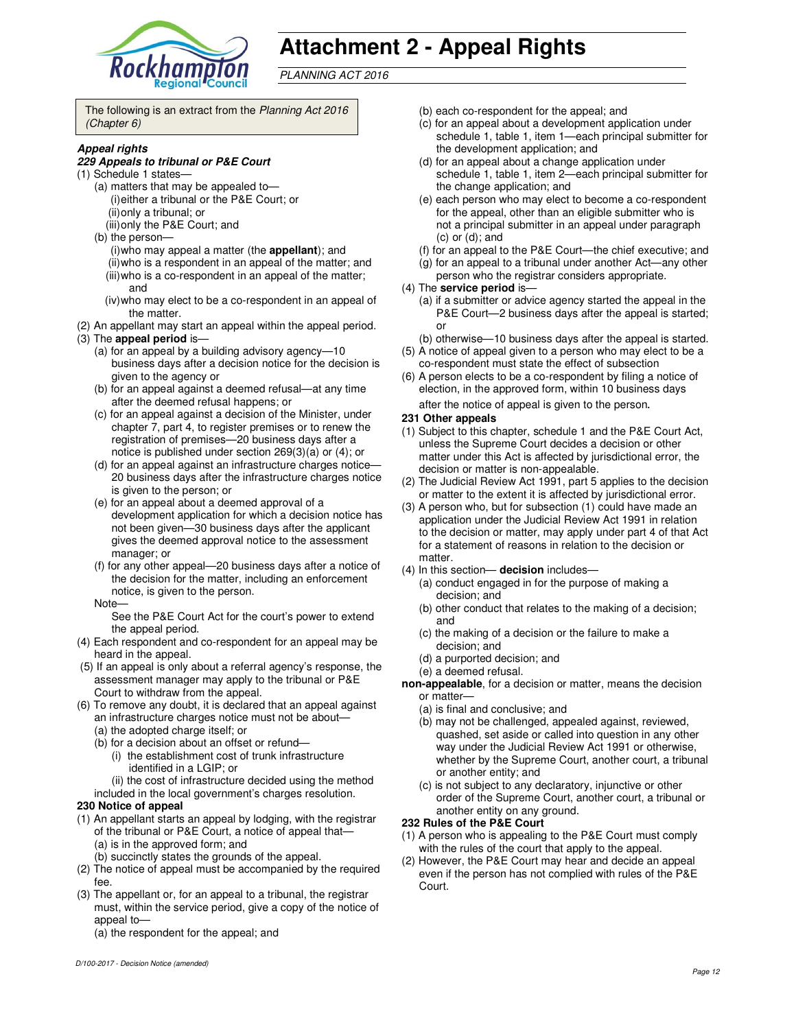

# **Attachment 2 - Appeal Rights**

PLANNING ACT 2016

The following is an extract from the Planning Act 2016 (Chapter 6)

#### **Appeal rights**

#### **229 Appeals to tribunal or P&E Court**

- (1) Schedule 1 states—
	- (a) matters that may be appealed to— (i) either a tribunal or the P&E Court; or (ii) only a tribunal; or
		- (iii) only the P&E Court; and
	- (b) the person—
		- (i) who may appeal a matter (the **appellant**); and (ii) who is a respondent in an appeal of the matter; and (iii) who is a co-respondent in an appeal of the matter; and
		- (iv) who may elect to be a co-respondent in an appeal of the matter.
- (2) An appellant may start an appeal within the appeal period.
- (3) The **appeal period** is—
	- (a) for an appeal by a building advisory agency—10 business days after a decision notice for the decision is given to the agency or
	- (b) for an appeal against a deemed refusal—at any time after the deemed refusal happens; or
	- (c) for an appeal against a decision of the Minister, under chapter 7, part 4, to register premises or to renew the registration of premises—20 business days after a notice is published under section 269(3)(a) or (4); or
	- (d) for an appeal against an infrastructure charges notice— 20 business days after the infrastructure charges notice is given to the person; or
	- (e) for an appeal about a deemed approval of a development application for which a decision notice has not been given—30 business days after the applicant gives the deemed approval notice to the assessment manager; or
	- (f) for any other appeal—20 business days after a notice of the decision for the matter, including an enforcement notice, is given to the person.
	- Note—

See the P&E Court Act for the court's power to extend the appeal period.

- (4) Each respondent and co-respondent for an appeal may be heard in the appeal.
- (5) If an appeal is only about a referral agency's response, the assessment manager may apply to the tribunal or P&E Court to withdraw from the appeal.
- (6) To remove any doubt, it is declared that an appeal against an infrastructure charges notice must not be about—
	- (a) the adopted charge itself; or
	- (b) for a decision about an offset or refund—
		- (i) the establishment cost of trunk infrastructure identified in a LGIP; or
	- (ii) the cost of infrastructure decided using the method included in the local government's charges resolution.

#### **230 Notice of appeal**

- (1) An appellant starts an appeal by lodging, with the registrar of the tribunal or P&E Court, a notice of appeal that— (a) is in the approved form; and
	- (b) succinctly states the grounds of the appeal.
- (2) The notice of appeal must be accompanied by the required fee.
- (3) The appellant or, for an appeal to a tribunal, the registrar must, within the service period, give a copy of the notice of appeal to-

(a) the respondent for the appeal; and

- (b) each co-respondent for the appeal; and
- (c) for an appeal about a development application under schedule 1, table 1, item 1—each principal submitter for the development application; and
- (d) for an appeal about a change application under schedule 1, table 1, item 2—each principal submitter for the change application; and
- (e) each person who may elect to become a co-respondent for the appeal, other than an eligible submitter who is not a principal submitter in an appeal under paragraph (c) or (d); and
- (f) for an appeal to the P&E Court—the chief executive; and
- (g) for an appeal to a tribunal under another Act—any other person who the registrar considers appropriate.
- (4) The **service period** is—
	- (a) if a submitter or advice agency started the appeal in the P&E Court-2 business days after the appeal is started; or
	- (b) otherwise—10 business days after the appeal is started.
- (5) A notice of appeal given to a person who may elect to be a co-respondent must state the effect of subsection
- (6) A person elects to be a co-respondent by filing a notice of election, in the approved form, within 10 business days after the notice of appeal is given to the person*.*

#### **231 Other appeals**

- (1) Subject to this chapter, schedule 1 and the P&E Court Act, unless the Supreme Court decides a decision or other matter under this Act is affected by jurisdictional error, the decision or matter is non-appealable.
- (2) The Judicial Review Act 1991, part 5 applies to the decision or matter to the extent it is affected by jurisdictional error.
- (3) A person who, but for subsection (1) could have made an application under the Judicial Review Act 1991 in relation to the decision or matter, may apply under part 4 of that Act for a statement of reasons in relation to the decision or matter.
- (4) In this section— **decision** includes—
	- (a) conduct engaged in for the purpose of making a decision; and
	- (b) other conduct that relates to the making of a decision; and
	- (c) the making of a decision or the failure to make a decision; and
	- (d) a purported decision; and
	- (e) a deemed refusal.

**non-appealable**, for a decision or matter, means the decision or matter—

- (a) is final and conclusive; and
- (b) may not be challenged, appealed against, reviewed, quashed, set aside or called into question in any other way under the Judicial Review Act 1991 or otherwise, whether by the Supreme Court, another court, a tribunal or another entity; and
- (c) is not subject to any declaratory, injunctive or other order of the Supreme Court, another court, a tribunal or another entity on any ground.

#### **232 Rules of the P&E Court**

- (1) A person who is appealing to the P&E Court must comply with the rules of the court that apply to the appeal.
- (2) However, the P&E Court may hear and decide an appeal even if the person has not complied with rules of the P&E Court.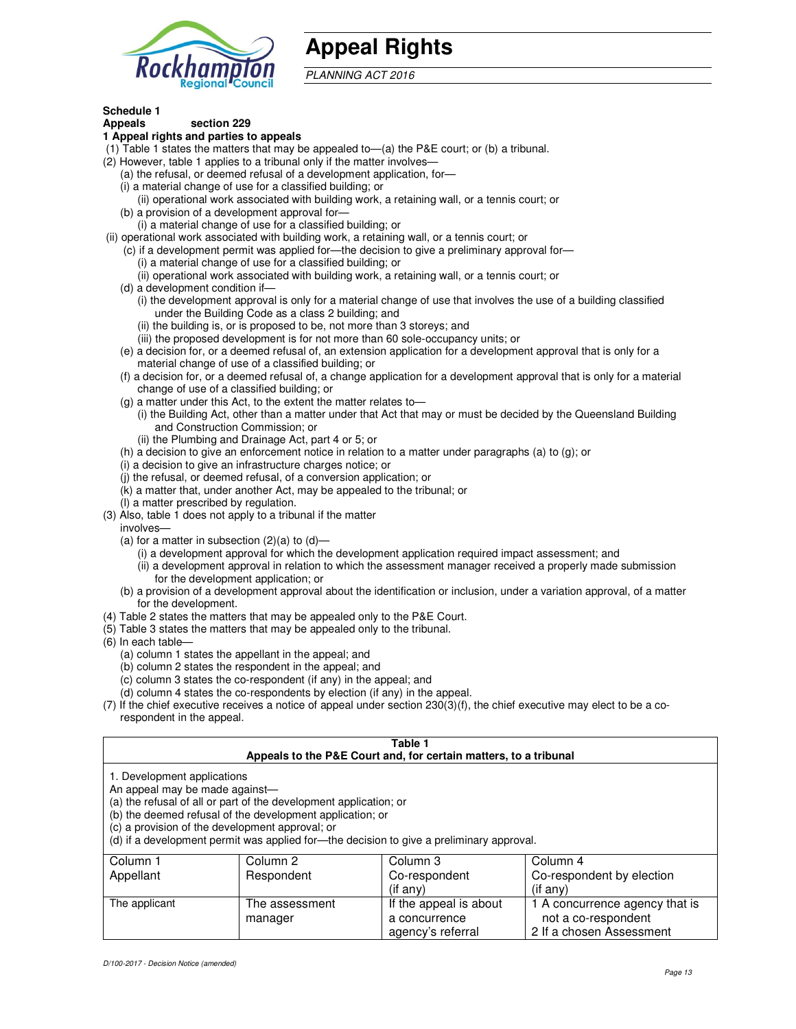

# **Appeal Rights**

PLANNING ACT 2016

# **Schedule 1**

#### **Appeals section 229 1 Appeal rights and parties to appeals**

- (1) Table 1 states the matters that may be appealed to—(a) the P&E court; or (b) a tribunal.
- (2) However, table 1 applies to a tribunal only if the matter involves—
	- (a) the refusal, or deemed refusal of a development application, for—
	- (i) a material change of use for a classified building; or
	- (ii) operational work associated with building work, a retaining wall, or a tennis court; or (b) a provision of a development approval for—
	- (i) a material change of use for a classified building; or
- (ii) operational work associated with building work, a retaining wall, or a tennis court; or
	- (c) if a development permit was applied for—the decision to give a preliminary approval for—
		- (i) a material change of use for a classified building; or
		- (ii) operational work associated with building work, a retaining wall, or a tennis court; or
	- (d) a development condition if—
		- (i) the development approval is only for a material change of use that involves the use of a building classified under the Building Code as a class 2 building; and
		- (ii) the building is, or is proposed to be, not more than 3 storeys; and
		- (iii) the proposed development is for not more than 60 sole-occupancy units; or
	- (e) a decision for, or a deemed refusal of, an extension application for a development approval that is only for a material change of use of a classified building; or
	- (f) a decision for, or a deemed refusal of, a change application for a development approval that is only for a material change of use of a classified building; or
	- (g) a matter under this Act, to the extent the matter relates to—
		- (i) the Building Act, other than a matter under that Act that may or must be decided by the Queensland Building and Construction Commission; or
		- (ii) the Plumbing and Drainage Act, part 4 or 5; or
	- (h) a decision to give an enforcement notice in relation to a matter under paragraphs (a) to (g); or
	- (i) a decision to give an infrastructure charges notice; or
	- (j) the refusal, or deemed refusal, of a conversion application; or
	- (k) a matter that, under another Act, may be appealed to the tribunal; or
	- (l) a matter prescribed by regulation.
- (3) Also, table 1 does not apply to a tribunal if the matter
- involves—
	- (a) for a matter in subsection  $(2)(a)$  to  $(d)$ 
		- (i) a development approval for which the development application required impact assessment; and
		- (ii) a development approval in relation to which the assessment manager received a properly made submission for the development application; or
	- (b) a provision of a development approval about the identification or inclusion, under a variation approval, of a matter for the development.
- (4) Table 2 states the matters that may be appealed only to the P&E Court.
- (5) Table 3 states the matters that may be appealed only to the tribunal.
- (6) In each table—
	- (a) column 1 states the appellant in the appeal; and
	- (b) column 2 states the respondent in the appeal; and
	- (c) column 3 states the co-respondent (if any) in the appeal; and
	- (d) column 4 states the co-respondents by election (if any) in the appeal.
- (7) If the chief executive receives a notice of appeal under section 230(3)(f), the chief executive may elect to be a corespondent in the appeal.

| Table 1<br>Appeals to the P&E Court and, for certain matters, to a tribunal |                                                                                                                                                                                   |                                                                                          |                                                       |  |
|-----------------------------------------------------------------------------|-----------------------------------------------------------------------------------------------------------------------------------------------------------------------------------|------------------------------------------------------------------------------------------|-------------------------------------------------------|--|
| 1. Development applications<br>An appeal may be made against-               | (a) the refusal of all or part of the development application; or<br>(b) the deemed refusal of the development application; or<br>(c) a provision of the development approval; or | (d) if a development permit was applied for—the decision to give a preliminary approval. |                                                       |  |
| Column 1<br>Appellant                                                       | Column 2<br>Respondent                                                                                                                                                            | Column 3<br>Co-respondent<br>$($ if any $)$                                              | Column 4<br>Co-respondent by election<br>(if any)     |  |
| The applicant                                                               | The assessment<br>manager                                                                                                                                                         | If the appeal is about<br>a concurrence                                                  | 1 A concurrence agency that is<br>not a co-respondent |  |

agency's referral

2 If a chosen Assessment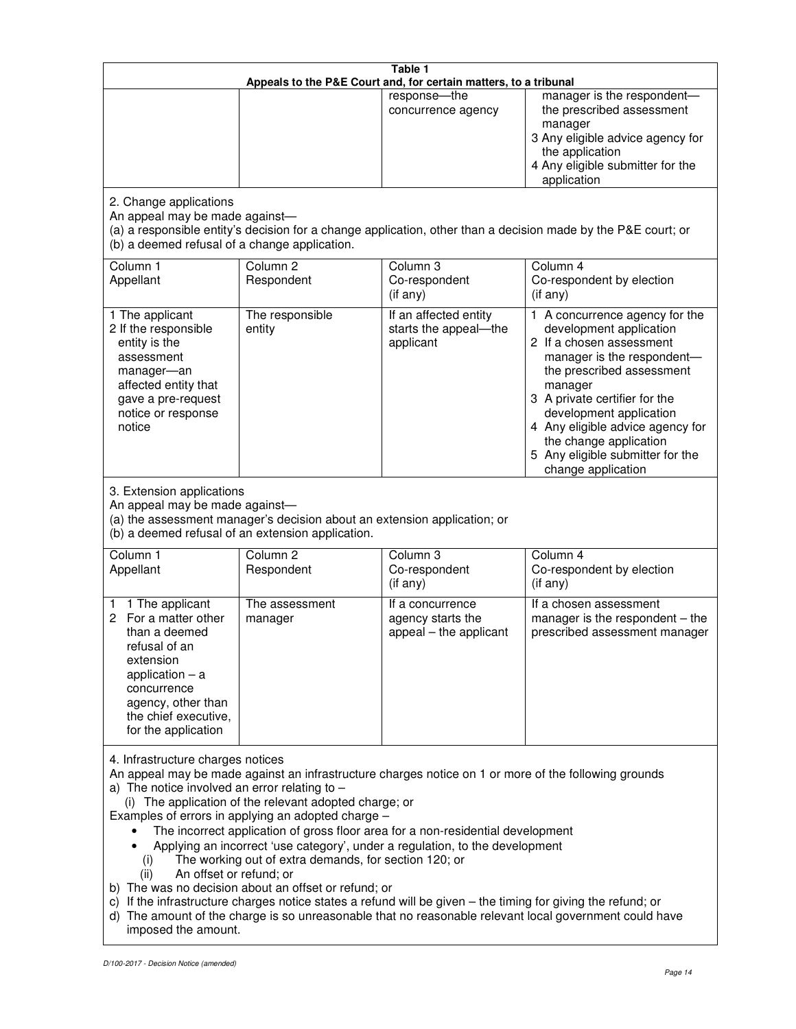| Table 1<br>Appeals to the P&E Court and, for certain matters, to a tribunal                                                                                                                                                                                                                                                                                                                                                                                                                                                                                                                                                                                                                                                                                                                                                                                                                 |                                                                                                                               |                                                                 |                                                                                                                                                                                                                                                                                                                                                 |  |
|---------------------------------------------------------------------------------------------------------------------------------------------------------------------------------------------------------------------------------------------------------------------------------------------------------------------------------------------------------------------------------------------------------------------------------------------------------------------------------------------------------------------------------------------------------------------------------------------------------------------------------------------------------------------------------------------------------------------------------------------------------------------------------------------------------------------------------------------------------------------------------------------|-------------------------------------------------------------------------------------------------------------------------------|-----------------------------------------------------------------|-------------------------------------------------------------------------------------------------------------------------------------------------------------------------------------------------------------------------------------------------------------------------------------------------------------------------------------------------|--|
|                                                                                                                                                                                                                                                                                                                                                                                                                                                                                                                                                                                                                                                                                                                                                                                                                                                                                             |                                                                                                                               | response-the<br>concurrence agency                              | manager is the respondent-<br>the prescribed assessment<br>manager<br>3 Any eligible advice agency for<br>the application<br>4 Any eligible submitter for the<br>application                                                                                                                                                                    |  |
| 2. Change applications<br>An appeal may be made against-<br>(b) a deemed refusal of a change application.                                                                                                                                                                                                                                                                                                                                                                                                                                                                                                                                                                                                                                                                                                                                                                                   |                                                                                                                               |                                                                 | (a) a responsible entity's decision for a change application, other than a decision made by the P&E court; or                                                                                                                                                                                                                                   |  |
| Column 1<br>Appellant                                                                                                                                                                                                                                                                                                                                                                                                                                                                                                                                                                                                                                                                                                                                                                                                                                                                       | Column <sub>2</sub><br>Respondent                                                                                             | Column 3<br>Co-respondent<br>(if any)                           | Column 4<br>Co-respondent by election<br>(if any)                                                                                                                                                                                                                                                                                               |  |
| 1 The applicant<br>2 If the responsible<br>entity is the<br>assessment<br>manager-an<br>affected entity that<br>gave a pre-request<br>notice or response<br>notice                                                                                                                                                                                                                                                                                                                                                                                                                                                                                                                                                                                                                                                                                                                          | The responsible<br>entity                                                                                                     | If an affected entity<br>starts the appeal-the<br>applicant     | 1 A concurrence agency for the<br>development application<br>2 If a chosen assessment<br>manager is the respondent-<br>the prescribed assessment<br>manager<br>3 A private certifier for the<br>development application<br>4 Any eligible advice agency for<br>the change application<br>5 Any eligible submitter for the<br>change application |  |
| 3. Extension applications<br>An appeal may be made against-                                                                                                                                                                                                                                                                                                                                                                                                                                                                                                                                                                                                                                                                                                                                                                                                                                 | (a) the assessment manager's decision about an extension application; or<br>(b) a deemed refusal of an extension application. |                                                                 |                                                                                                                                                                                                                                                                                                                                                 |  |
| Column 1<br>Appellant                                                                                                                                                                                                                                                                                                                                                                                                                                                                                                                                                                                                                                                                                                                                                                                                                                                                       | Column <sub>2</sub><br>Respondent                                                                                             | Column 3<br>Co-respondent<br>(if any)                           | Column 4<br>Co-respondent by election<br>$($ if any $)$                                                                                                                                                                                                                                                                                         |  |
| 1 The applicant<br>1<br>2<br>For a matter other<br>than a deemed<br>refusal of an<br>extension<br>application $-$ a<br>concurrence<br>agency, other than<br>the chief executive,<br>for the application                                                                                                                                                                                                                                                                                                                                                                                                                                                                                                                                                                                                                                                                                     | The assessment<br>manager                                                                                                     | If a concurrence<br>agency starts the<br>appeal - the applicant | If a chosen assessment<br>manager is the respondent - the<br>prescribed assessment manager                                                                                                                                                                                                                                                      |  |
| 4. Infrastructure charges notices<br>An appeal may be made against an infrastructure charges notice on 1 or more of the following grounds<br>a) The notice involved an error relating to $-$<br>(i) The application of the relevant adopted charge; or<br>Examples of errors in applying an adopted charge -<br>The incorrect application of gross floor area for a non-residential development<br>Applying an incorrect 'use category', under a regulation, to the development<br>The working out of extra demands, for section 120; or<br>(i)<br>An offset or refund; or<br>(ii)<br>b) The was no decision about an offset or refund; or<br>c) If the infrastructure charges notice states a refund will be given - the timing for giving the refund; or<br>d) The amount of the charge is so unreasonable that no reasonable relevant local government could have<br>imposed the amount. |                                                                                                                               |                                                                 |                                                                                                                                                                                                                                                                                                                                                 |  |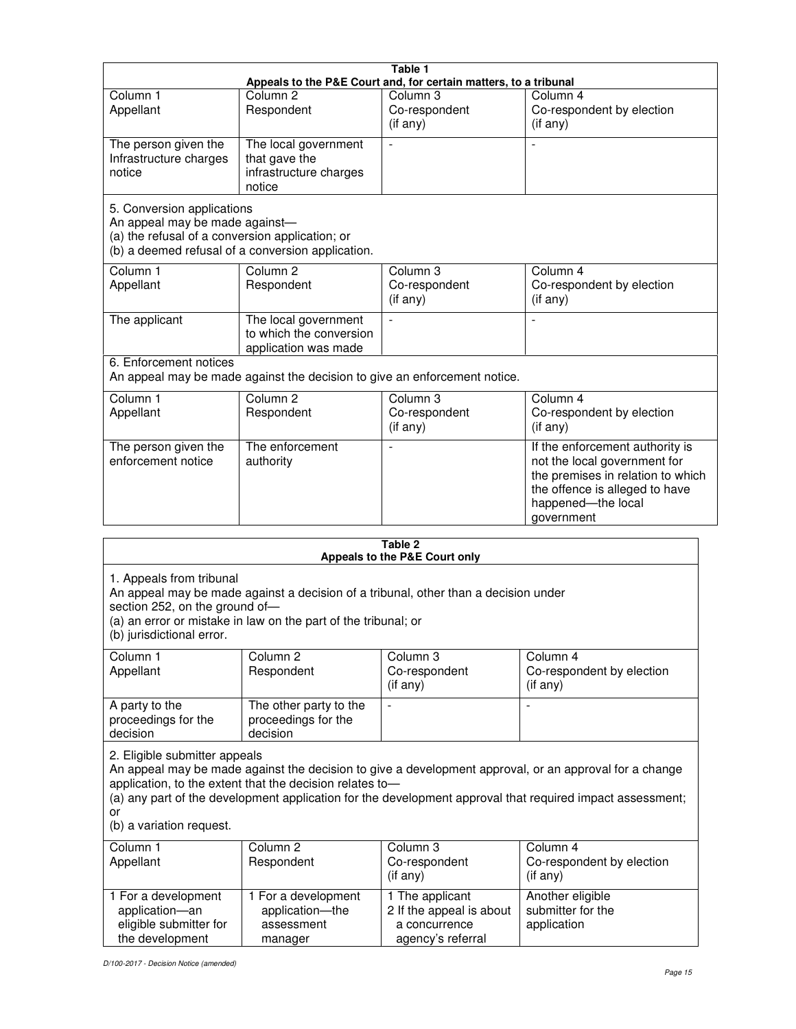|                                                                                                                 |                                                                                                                                                       | Table 1<br>Appeals to the P&E Court and, for certain matters, to a tribunal       |                                                                                                                                                                                                                     |
|-----------------------------------------------------------------------------------------------------------------|-------------------------------------------------------------------------------------------------------------------------------------------------------|-----------------------------------------------------------------------------------|---------------------------------------------------------------------------------------------------------------------------------------------------------------------------------------------------------------------|
| Column <sub>1</sub><br>Appellant                                                                                | Column <sub>2</sub><br>Respondent                                                                                                                     | Column 3<br>Co-respondent<br>(if any)                                             | Column 4<br>Co-respondent by election<br>(if any)                                                                                                                                                                   |
| The person given the<br>Infrastructure charges<br>notice                                                        | The local government<br>that gave the<br>infrastructure charges<br>notice                                                                             | $\blacksquare$                                                                    |                                                                                                                                                                                                                     |
| 5. Conversion applications<br>An appeal may be made against-<br>(a) the refusal of a conversion application; or | (b) a deemed refusal of a conversion application.                                                                                                     |                                                                                   |                                                                                                                                                                                                                     |
| Column 1<br>Appellant                                                                                           | Column <sub>2</sub><br>Respondent                                                                                                                     | Column 3<br>Co-respondent<br>(if any)                                             | Column 4<br>Co-respondent by election<br>(if any)                                                                                                                                                                   |
| The applicant                                                                                                   | The local government<br>to which the conversion<br>application was made                                                                               | $\blacksquare$                                                                    | L,                                                                                                                                                                                                                  |
| 6. Enforcement notices                                                                                          | An appeal may be made against the decision to give an enforcement notice.                                                                             |                                                                                   |                                                                                                                                                                                                                     |
| Column 1<br>Appellant                                                                                           | Column 2<br>Respondent                                                                                                                                | Column 3<br>Co-respondent<br>(if any)                                             | Column 4<br>Co-respondent by election<br>(if any)                                                                                                                                                                   |
| The person given the<br>enforcement notice                                                                      | The enforcement<br>authority                                                                                                                          |                                                                                   | If the enforcement authority is<br>not the local government for<br>the premises in relation to which<br>the offence is alleged to have<br>happened-the local<br>government                                          |
|                                                                                                                 |                                                                                                                                                       | Table 2                                                                           |                                                                                                                                                                                                                     |
| 1. Appeals from tribunal<br>section 252, on the ground of-<br>(b) jurisdictional error.                         | An appeal may be made against a decision of a tribunal, other than a decision under<br>(a) an error or mistake in law on the part of the tribunal; or | Appeals to the P&E Court only                                                     |                                                                                                                                                                                                                     |
| Column 1<br>Appellant                                                                                           | Column <sub>2</sub><br>Respondent                                                                                                                     | Column 3<br>Co-respondent<br>(if any)                                             | Column 4<br>Co-respondent by election<br>(if any)                                                                                                                                                                   |
| A party to the<br>proceedings for the<br>decision                                                               | The other party to the<br>proceedings for the<br>decision                                                                                             |                                                                                   |                                                                                                                                                                                                                     |
| 2. Eligible submitter appeals<br>or<br>(b) a variation request.                                                 | application, to the extent that the decision relates to-                                                                                              |                                                                                   | An appeal may be made against the decision to give a development approval, or an approval for a change<br>(a) any part of the development application for the development approval that required impact assessment; |
| Column 1<br>Appellant                                                                                           | Column <sub>2</sub><br>Respondent                                                                                                                     | Column 3<br>Co-respondent<br>(if any)                                             | Column 4<br>Co-respondent by election<br>(if any)                                                                                                                                                                   |
| 1 For a development<br>application-an<br>eligible submitter for<br>the development                              | 1 For a development<br>application-the<br>assessment<br>manager                                                                                       | 1 The applicant<br>2 If the appeal is about<br>a concurrence<br>agency's referral | Another eligible<br>submitter for the<br>application                                                                                                                                                                |

D/100-2017 - Decision Notice (amended)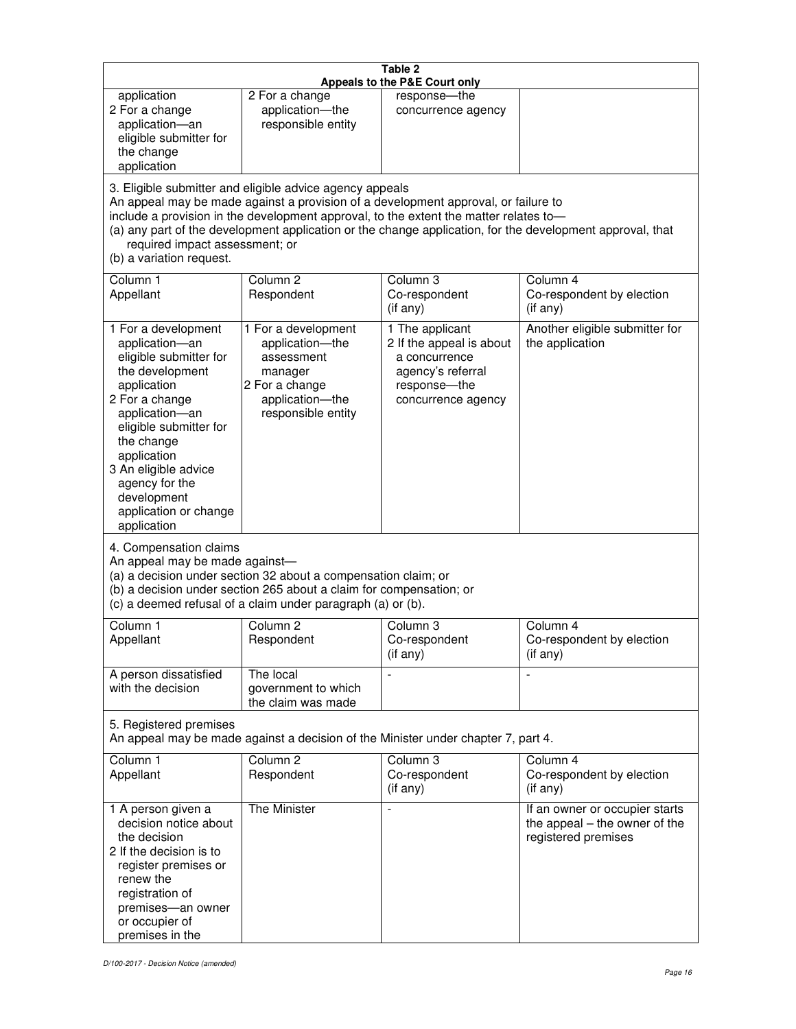| Table 2<br>Appeals to the P&E Court only                                                                                                                                                                                                                                                      |                                                                                                                                                                                                                                                                                                                                                                                        |                                                                                                                         |                                                                                        |  |  |
|-----------------------------------------------------------------------------------------------------------------------------------------------------------------------------------------------------------------------------------------------------------------------------------------------|----------------------------------------------------------------------------------------------------------------------------------------------------------------------------------------------------------------------------------------------------------------------------------------------------------------------------------------------------------------------------------------|-------------------------------------------------------------------------------------------------------------------------|----------------------------------------------------------------------------------------|--|--|
| application<br>2 For a change<br>application-an<br>eligible submitter for<br>the change<br>application                                                                                                                                                                                        | 2 For a change<br>application-the<br>responsible entity                                                                                                                                                                                                                                                                                                                                | response-the<br>concurrence agency                                                                                      |                                                                                        |  |  |
| (b) a variation request.                                                                                                                                                                                                                                                                      | 3. Eligible submitter and eligible advice agency appeals<br>An appeal may be made against a provision of a development approval, or failure to<br>include a provision in the development approval, to the extent the matter relates to-<br>(a) any part of the development application or the change application, for the development approval, that<br>required impact assessment; or |                                                                                                                         |                                                                                        |  |  |
| Column 1<br>Appellant                                                                                                                                                                                                                                                                         | Column <sub>2</sub><br>Respondent                                                                                                                                                                                                                                                                                                                                                      | Column 3<br>Co-respondent<br>(if any)                                                                                   | Column 4<br>Co-respondent by election<br>(if any)                                      |  |  |
| 1 For a development<br>application-an<br>eligible submitter for<br>the development<br>application<br>2 For a change<br>application-an<br>eligible submitter for<br>the change<br>application<br>3 An eligible advice<br>agency for the<br>development<br>application or change<br>application | 1 For a development<br>application-the<br>assessment<br>manager<br>2 For a change<br>application-the<br>responsible entity                                                                                                                                                                                                                                                             | 1 The applicant<br>2 If the appeal is about<br>a concurrence<br>agency's referral<br>response-the<br>concurrence agency | Another eligible submitter for<br>the application                                      |  |  |
| 4. Compensation claims<br>An appeal may be made against-                                                                                                                                                                                                                                      | (a) a decision under section 32 about a compensation claim; or<br>(b) a decision under section 265 about a claim for compensation; or<br>(c) a deemed refusal of a claim under paragraph (a) or (b).                                                                                                                                                                                   |                                                                                                                         |                                                                                        |  |  |
| Column <sub>1</sub><br>Appellant                                                                                                                                                                                                                                                              | Column <sub>2</sub><br>Respondent                                                                                                                                                                                                                                                                                                                                                      | Column 3<br>Co-respondent<br>(if any)                                                                                   | Column 4<br>Co-respondent by election<br>(if any)                                      |  |  |
| A person dissatisfied<br>with the decision                                                                                                                                                                                                                                                    | The local<br>government to which<br>the claim was made                                                                                                                                                                                                                                                                                                                                 |                                                                                                                         | $\blacksquare$                                                                         |  |  |
| 5. Registered premises<br>An appeal may be made against a decision of the Minister under chapter 7, part 4.                                                                                                                                                                                   |                                                                                                                                                                                                                                                                                                                                                                                        |                                                                                                                         |                                                                                        |  |  |
| Column 1<br>Appellant                                                                                                                                                                                                                                                                         | Column <sub>2</sub><br>Respondent                                                                                                                                                                                                                                                                                                                                                      | Column 3<br>Co-respondent<br>(if any)                                                                                   | Column 4<br>Co-respondent by election<br>(if any)                                      |  |  |
| 1 A person given a<br>decision notice about<br>the decision<br>2 If the decision is to<br>register premises or<br>renew the<br>registration of<br>premises-an owner<br>or occupier of<br>premises in the                                                                                      | <b>The Minister</b>                                                                                                                                                                                                                                                                                                                                                                    | $\blacksquare$                                                                                                          | If an owner or occupier starts<br>the appeal – the owner of the<br>registered premises |  |  |